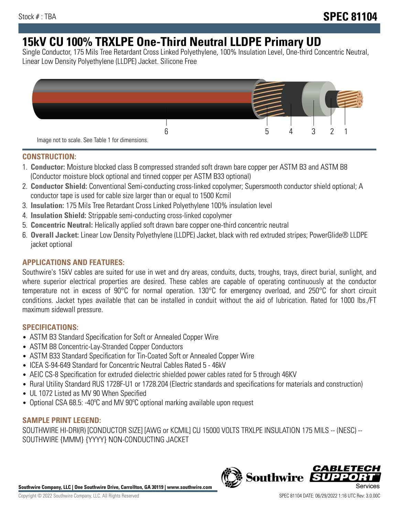# **15kV CU 100% TRXLPE One-Third Neutral LLDPE Primary UD**

Single Conductor, 175 Mils Tree Retardant Cross Linked Polyethylene, 100% Insulation Level, One-third Concentric Neutral, Linear Low Density Polyethylene (LLDPE) Jacket. Silicone Free



### **CONSTRUCTION:**

- 1. **Conductor:** Moisture blocked class B compressed stranded soft drawn bare copper per ASTM B3 and ASTM B8 (Conductor moisture block optional and tinned copper per ASTM B33 optional)
- 2. **Conductor Shield:** Conventional Semi-conducting cross-linked copolymer; Supersmooth conductor shield optional; A conductor tape is used for cable size larger than or equal to 1500 Kcmil
- 3. **Insulation:** 175 Mils Tree Retardant Cross Linked Polyethylene 100% insulation level
- 4. **Insulation Shield:** Strippable semi-conducting cross-linked copolymer
- 5. **Concentric Neutral:** Helically applied soft drawn bare copper one-third concentric neutral
- 6. **Overall Jacket:** Linear Low Density Polyethylene (LLDPE) Jacket, black with red extruded stripes; PowerGlide® LLDPE jacket optional

### **APPLICATIONS AND FEATURES:**

Southwire's 15kV cables are suited for use in wet and dry areas, conduits, ducts, troughs, trays, direct burial, sunlight, and where superior electrical properties are desired. These cables are capable of operating continuously at the conductor temperature not in excess of 90°C for normal operation. 130°C for emergency overload, and 250°C for short circuit conditions. Jacket types available that can be installed in conduit without the aid of lubrication. Rated for 1000 lbs./FT maximum sidewall pressure.

### **SPECIFICATIONS:**

- ASTM B3 Standard Specification for Soft or Annealed Copper Wire
- ASTM B8 Concentric-Lay-Stranded Copper Conductors
- ASTM B33 Standard Specification for Tin-Coated Soft or Annealed Copper Wire
- ICEA S-94-649 Standard for Concentric Neutral Cables Rated 5 46kV
- AEIC CS-8 Specification for extruded dielectric shielded power cables rated for 5 through 46KV
- Rural Utility Standard RUS 1728F-U1 or 1728.204 (Electric standards and specifications for materials and construction)
- UL 1072 Listed as MV 90 When Specified
- Optional CSA 68.5: -40ºC and MV 90ºC optional marking available upon request

## **SAMPLE PRINT LEGEND:**

SOUTHWIRE HI-DRI(R) [CONDUCTOR SIZE] [AWG or KCMIL] CU 15000 VOLTS TRXLPE INSULATION 175 MILS -- (NESC) -- SOUTHWIRE {MMM} {YYYY} NON-CONDUCTING JACKET

**Southwire Company, LLC | One Southwire Drive, Carrollton, GA 30119 | www.southwire.com**

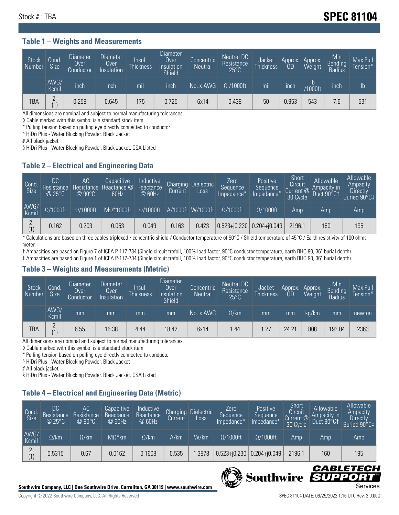# Stock # : TBA **SPEC 81104**

#### **Table 1 – Weights and Measurements**

| <b>Stock</b><br>  Number | Cond<br><b>Size</b> | <b>Diameter</b><br>Over<br>Conductor | <b>Diameter</b><br><b>Over</b><br>Insulation | <b>Insul</b><br><b>Thickness</b> | Diameter<br>Over<br>Insulation<br><b>Shield</b> | Concentric<br><b>Neutral</b> | Neutral DC<br>Resistance<br>$25^{\circ}$ C | Jacket<br><b>Thickness</b> | Approx.<br><b>OD</b> | Approx.<br>Weight | Min<br><b>Bending</b><br>Radius | Max Pull<br>Tension*' |
|--------------------------|---------------------|--------------------------------------|----------------------------------------------|----------------------------------|-------------------------------------------------|------------------------------|--------------------------------------------|----------------------------|----------------------|-------------------|---------------------------------|-----------------------|
|                          | AWG/<br>Kcmil       | inch                                 | inch                                         | mil                              | inch                                            | No. x AWG                    | $\Omega$ /1000ft                           | mil                        | inch                 | lb.<br>/1000ft    | inch                            | lb                    |
| TBA                      | $\Omega$<br>(1)     | 0.258                                | 0.645                                        | .75                              | 0.725                                           | 6x14                         | 0.438                                      | 50                         | 0.953                | 543               | 7.6                             | 531                   |

All dimensions are nominal and subject to normal manufacturing tolerances

◊ Cable marked with this symbol is a standard stock item

\* Pulling tension based on pulling eye directly connected to conductor

^ HiDri Plus - Water Blocking Powder. Black Jacket

# All black jacket

§ HiDri Plus - Water Blocking Powder. Black Jacket. CSA Listed

### **Table 2 – Electrical and Engineering Data**

| Cond.<br>Size | 'DC<br>Resistance<br>@25°C | AC<br>Resistance<br>$@90^{\circ}C$ | Capacitive<br>Reactance @<br>60Hz | Inductive<br>Reactance<br>@ 60Hz | Charging<br>Current | Dielectric<br>Loss | Zero<br>Sequence<br>Impedance* | Positive<br>Sequence<br>Impedance <sup>+</sup> | Short<br>Circuit<br>Current @<br>30 Cycle | Allowable<br>Ampacity in<br>Duct 90°C† | Allowable<br>Ampacity<br><b>Directly</b><br>Buried 90°C‡ |
|---------------|----------------------------|------------------------------------|-----------------------------------|----------------------------------|---------------------|--------------------|--------------------------------|------------------------------------------------|-------------------------------------------|----------------------------------------|----------------------------------------------------------|
| AWG/<br>Kcmil | $\Omega/1000$ ft           | $\Omega/1000$ ft                   | $M\Omega^*1000$ ft                | $\Omega/1000$ ft                 |                     | A/1000ft W/1000ft  | $O/1000$ ft                    | $\Omega$ /1000ft                               | Amp                                       | Amp                                    | Amp                                                      |
| (1)           | 0.162                      | 0.203                              | 0.053                             | 0.049                            | 0.163               | 0.423              | $0.523 + 0.230$ 0.204+ $0.049$ |                                                | 2196.1                                    | 160                                    | 195                                                      |

\* Calculations are based on three cables triplexed / concentric shield / Conductor temperature of 90°C / Shield temperature of 45°C / Earth resistivity of 100 ohmsmeter

† Ampacities are based on Figure 7 of ICEA P-117-734 (Single circuit trefoil, 100% load factor, 90°C conductor temperature, earth RHO 90, 36" burial depth) ‡ Ampacities are based on Figure 1 of ICEA P-117-734 (Single circuit trefoil, 100% load factor, 90°C conductor temperature, earth RHO 90, 36" burial depth)

### **Table 3 – Weights and Measurements (Metric)**

| Stock<br>Number | Cond<br>Size <sup>1</sup> | <b>Diameter</b><br>Over<br>Conductor | Diameter<br><b>Over</b><br>Insulation | Insul.<br><b>Thickness</b> | <b>Diameter</b><br>Over.<br>Insulation<br>Shield | Concentric<br><b>Neutral</b> | Neutral DC<br>Resistance<br>$25^{\circ}$ C | Jacket<br><b>Thickness</b> | Approx.<br>0D | Approx.<br>Weight | Min<br>Bending<br>Radius | Max Pull<br>Tension* |
|-----------------|---------------------------|--------------------------------------|---------------------------------------|----------------------------|--------------------------------------------------|------------------------------|--------------------------------------------|----------------------------|---------------|-------------------|--------------------------|----------------------|
|                 | AWG/<br>Kcmil             | mm                                   | mm                                    | mm                         | mm                                               | No. x AWG                    | $\Omega$ /km                               | mm                         | mm            | ka/km             | mm                       | newton               |
| TBA             | $\Omega$<br>(1)           | 6.55                                 | 16.38                                 | 4.44                       | 18.42                                            | 6x14                         | .44                                        | 1.27                       | 24.21         | 808               | 193.04                   | 2363                 |

All dimensions are nominal and subject to normal manufacturing tolerances

◊ Cable marked with this symbol is a standard stock item

\* Pulling tension based on pulling eye directly connected to conductor

^ HiDri Plus - Water Blocking Powder. Black Jacket

# All black jacket

§ HiDri Plus - Water Blocking Powder. Black Jacket. CSA Listed

### **Table 4 – Electrical and Engineering Data (Metric)**

| Cond<br>Size  | DC<br>Resistance<br>@25°C | AC.<br>Resistance<br>$@90^{\circ}C$ | Capacitive<br>Reactance<br>@ 60Hz | Inductive<br>Reactance<br>@ 60Hz | Charging<br>Current | <b>Dielectric</b><br>Loss. | Zero<br>Sequence<br>Impedance* | Positive<br>Sequence<br>Impedance* | Short<br>Circuit<br>Current $@'$<br>30 Cycle | Allowable<br>Ampacity in<br>Duct 90°C1 | Allowable<br>Ampacity<br><b>Directly</b><br>Buried 90°C‡ |
|---------------|---------------------------|-------------------------------------|-----------------------------------|----------------------------------|---------------------|----------------------------|--------------------------------|------------------------------------|----------------------------------------------|----------------------------------------|----------------------------------------------------------|
| AWG/<br>Kcmil | $\Omega$ /km              | $\Omega$ /km                        | $M\Omega^*$ km                    | $\Omega$ /km                     | A/km                | W/km                       | $\Omega/1000$ ft               | $\Omega/1000$ ft                   | Amp                                          | Amp                                    | Amp                                                      |
|               | 0.5315                    | 0.67                                | 0.0162                            | 0.1608                           | 0.535               | .3878                      | $0.523 + 0.230$                | $0.204 + 0.049$                    | 2196.1                                       | 160                                    | 195                                                      |



CABLE

UPPO

IS

**Southwire**